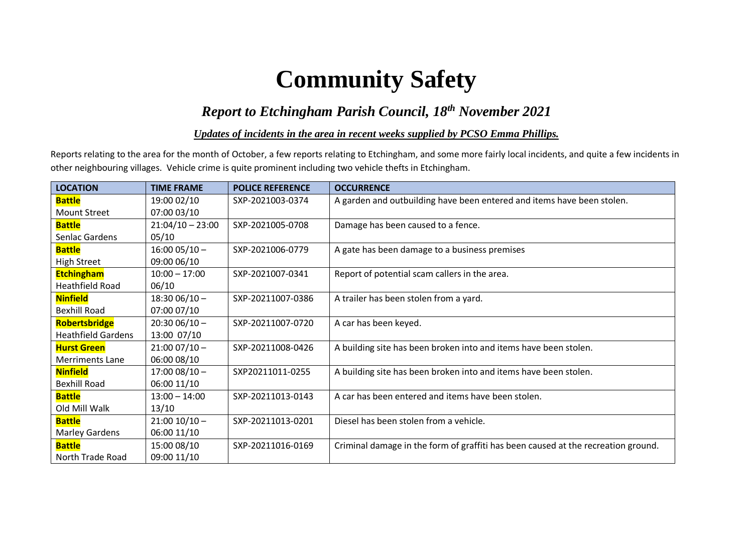# **Community Safety**

## *Report to Etchingham Parish Council, 18 th November 2021*

#### *Updates of incidents in the area in recent weeks supplied by PCSO Emma Phillips.*

Reports relating to the area for the month of October, a few reports relating to Etchingham, and some more fairly local incidents, and quite a few incidents in other neighbouring villages. Vehicle crime is quite prominent including two vehicle thefts in Etchingham.

| <b>LOCATION</b>           | <b>TIME FRAME</b>  | <b>POLICE REFERENCE</b> | <b>OCCURRENCE</b>                                                                 |
|---------------------------|--------------------|-------------------------|-----------------------------------------------------------------------------------|
| <b>Battle</b>             | 19:00 02/10        | SXP-2021003-0374        | A garden and outbuilding have been entered and items have been stolen.            |
| <b>Mount Street</b>       | 07:00 03/10        |                         |                                                                                   |
| <b>Battle</b>             | $21:04/10 - 23:00$ | SXP-2021005-0708        | Damage has been caused to a fence.                                                |
| Senlac Gardens            | 05/10              |                         |                                                                                   |
| <b>Battle</b>             | $16:0005/10 -$     | SXP-2021006-0779        | A gate has been damage to a business premises                                     |
| <b>High Street</b>        | 09:00 06/10        |                         |                                                                                   |
| <b>Etchingham</b>         | $10:00 - 17:00$    | SXP-2021007-0341        | Report of potential scam callers in the area.                                     |
| <b>Heathfield Road</b>    | 06/10              |                         |                                                                                   |
| <b>Ninfield</b>           | $18:3006/10 -$     | SXP-20211007-0386       | A trailer has been stolen from a yard.                                            |
| <b>Bexhill Road</b>       | 07:00 07/10        |                         |                                                                                   |
| <b>Robertsbridge</b>      | $20:3006/10 -$     | SXP-20211007-0720       | A car has been keyed.                                                             |
| <b>Heathfield Gardens</b> | 13:00 07/10        |                         |                                                                                   |
| <b>Hurst Green</b>        | $21:0007/10 -$     | SXP-20211008-0426       | A building site has been broken into and items have been stolen.                  |
| <b>Merriments Lane</b>    | 06:00 08/10        |                         |                                                                                   |
| <b>Ninfield</b>           | $17:0008/10 -$     | SXP20211011-0255        | A building site has been broken into and items have been stolen.                  |
| <b>Bexhill Road</b>       | 06:00 11/10        |                         |                                                                                   |
| <b>Battle</b>             | $13:00 - 14:00$    | SXP-20211013-0143       | A car has been entered and items have been stolen.                                |
| Old Mill Walk             | 13/10              |                         |                                                                                   |
| <b>Battle</b>             | $21:00$ $10/10$ -  | SXP-20211013-0201       | Diesel has been stolen from a vehicle.                                            |
| <b>Marley Gardens</b>     | 06:00 11/10        |                         |                                                                                   |
| <b>Battle</b>             | 15:00 08/10        | SXP-20211016-0169       | Criminal damage in the form of graffiti has been caused at the recreation ground. |
| North Trade Road          | 09:00 11/10        |                         |                                                                                   |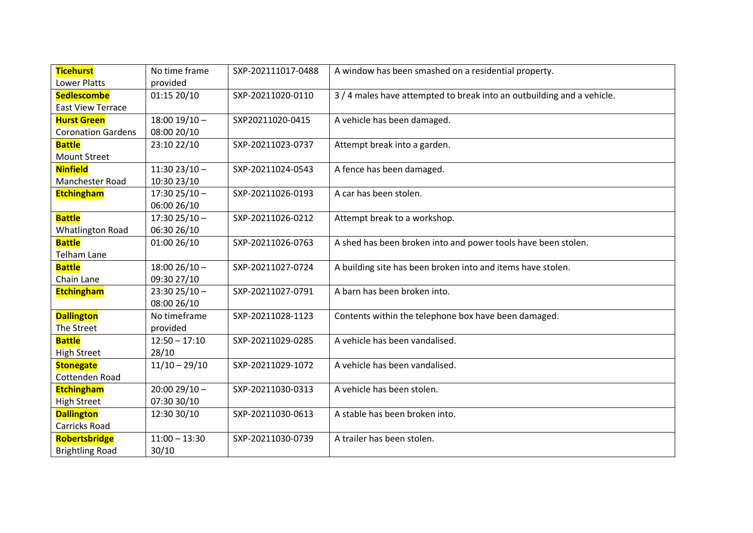| <b>Ticehurst</b>          | No time frame     | SXP-202111017-0488 | A window has been smashed on a residential property.                   |
|---------------------------|-------------------|--------------------|------------------------------------------------------------------------|
| <b>Lower Platts</b>       | provided          |                    |                                                                        |
| <b>Sedlescombe</b>        | 01:15 20/10       | SXP-20211020-0110  | 3 / 4 males have attempted to break into an outbuilding and a vehicle. |
| <b>East View Terrace</b>  |                   |                    |                                                                        |
| <b>Hurst Green</b>        | $18:00$ $19/10$ - | SXP20211020-0415   | A vehicle has been damaged.                                            |
| <b>Coronation Gardens</b> | 08:00 20/10       |                    |                                                                        |
| <b>Battle</b>             | 23:10 22/10       | SXP-20211023-0737  | Attempt break into a garden.                                           |
| <b>Mount Street</b>       |                   |                    |                                                                        |
| <b>Ninfield</b>           | $11:3023/10 -$    | SXP-20211024-0543  | A fence has been damaged.                                              |
| Manchester Road           | 10:30 23/10       |                    |                                                                        |
| <b>Etchingham</b>         | $17:3025/10 -$    | SXP-20211026-0193  | A car has been stolen.                                                 |
|                           | 06:00 26/10       |                    |                                                                        |
| <b>Battle</b>             | $17:3025/10 -$    | SXP-20211026-0212  | Attempt break to a workshop.                                           |
| <b>Whatlington Road</b>   | 06:30 26/10       |                    |                                                                        |
| <b>Battle</b>             | 01:00 26/10       | SXP-20211026-0763  | A shed has been broken into and power tools have been stolen.          |
| <b>Telham Lane</b>        |                   |                    |                                                                        |
| <b>Battle</b>             | $18:0026/10 -$    | SXP-20211027-0724  | A building site has been broken into and items have stolen.            |
| Chain Lane                | 09:30 27/10       |                    |                                                                        |
| <b>Etchingham</b>         | $23:3025/10 -$    | SXP-20211027-0791  | A barn has been broken into.                                           |
|                           | 08:00 26/10       |                    |                                                                        |
| <b>Dallington</b>         | No timeframe      | SXP-20211028-1123  | Contents within the telephone box have been damaged.                   |
| The Street                | provided          |                    |                                                                        |
| <b>Battle</b>             | $12:50 - 17:10$   | SXP-20211029-0285  | A vehicle has been vandalised.                                         |
| <b>High Street</b>        | 28/10             |                    |                                                                        |
| <b>Stonegate</b>          | $11/10 - 29/10$   | SXP-20211029-1072  | A vehicle has been vandalised.                                         |
| Cottenden Road            |                   |                    |                                                                        |
| <b>Etchingham</b>         | $20:0029/10 -$    | SXP-20211030-0313  | A vehicle has been stolen.                                             |
| <b>High Street</b>        | 07:30 30/10       |                    |                                                                        |
| <b>Dallington</b>         | 12:30 30/10       | SXP-20211030-0613  | A stable has been broken into.                                         |
| Carricks Road             |                   |                    |                                                                        |
| <b>Robertsbridge</b>      | $11:00 - 13:30$   | SXP-20211030-0739  | A trailer has been stolen.                                             |
| <b>Brightling Road</b>    | 30/10             |                    |                                                                        |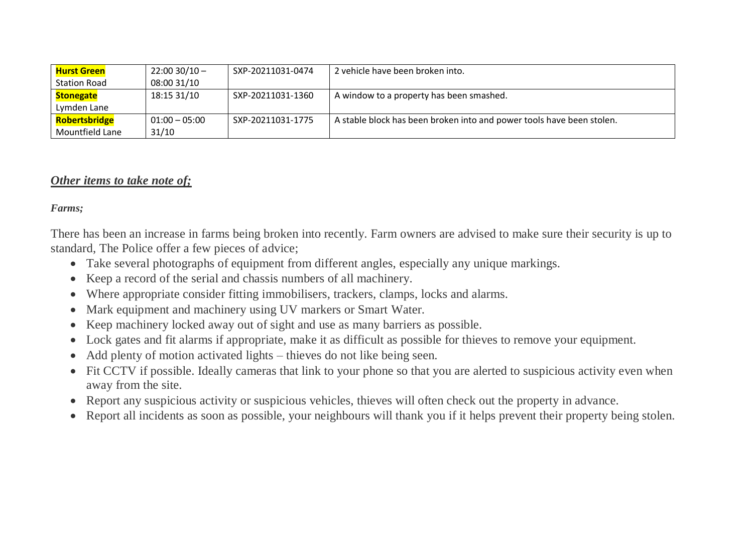| <mark>Hurst Green</mark> | $22:00$ 30/10 $-$ | SXP-20211031-0474 | 2 vehicle have been broken into.                                      |
|--------------------------|-------------------|-------------------|-----------------------------------------------------------------------|
| Station Road             | 08:00 31/10       |                   |                                                                       |
| Stonegate                | 18:15 31/10       | SXP-20211031-1360 | A window to a property has been smashed.                              |
| Lymden Lane              |                   |                   |                                                                       |
| <b>Robertsbridge</b>     | $01:00 - 05:00$   | SXP-20211031-1775 | A stable block has been broken into and power tools have been stolen. |
| Mountfield Lane          | 31/10             |                   |                                                                       |

#### *Other items to take note of;*

*Farms;*

There has been an increase in farms being broken into recently. Farm owners are advised to make sure their security is up to standard, The Police offer a few pieces of advice;

- Take several photographs of equipment from different angles, especially any unique markings.
- Keep a record of the serial and chassis numbers of all machinery.
- Where appropriate consider fitting immobilisers, trackers, clamps, locks and alarms.
- Mark equipment and machinery using UV markers or Smart Water.
- Keep machinery locked away out of sight and use as many barriers as possible.
- Lock gates and fit alarms if appropriate, make it as difficult as possible for thieves to remove your equipment.
- Add plenty of motion activated lights thieves do not like being seen.
- Fit CCTV if possible. Ideally cameras that link to your phone so that you are alerted to suspicious activity even when away from the site.
- Report any suspicious activity or suspicious vehicles, thieves will often check out the property in advance.
- Report all incidents as soon as possible, your neighbours will thank you if it helps prevent their property being stolen.